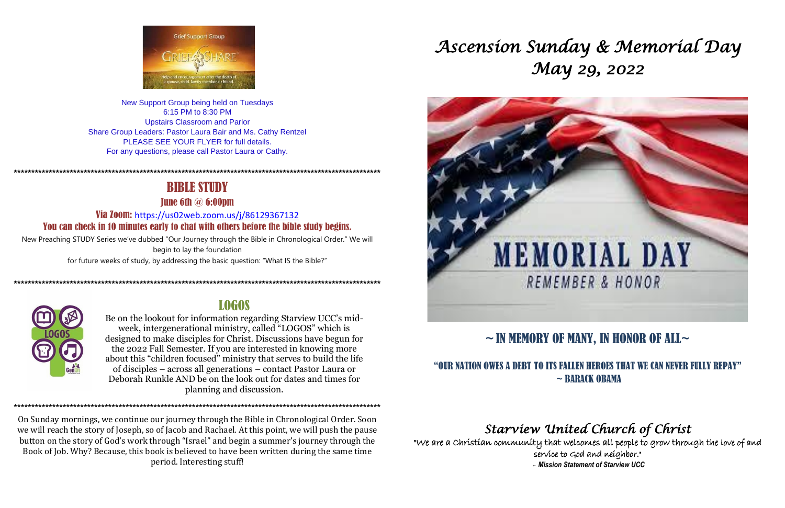

New Support Group being held on Tuesdays 6:15 PM to 8:30 PM **Upstairs Classroom and Parlor** Share Group Leaders: Pastor Laura Bair and Ms. Cathy Rentzel PLEASE SEE YOUR FLYER for full details. For any questions, please call Pastor Laura or Cathy.

# **BIBLE STUDY**

**Tune 6th**  $\omega$  **6:00pm** 

Via Zoom: https://us02web.zoom.us/j/86129367132 You can check in 10 minutes early to chat with others before the bible study begins.

New Preaching STUDY Series we've dubbed "Our Journey through the Bible in Chronological Order." We will begin to lay the foundation for future weeks of study, by addressing the basic question: "What IS the Bible?"



## **LOGOS**

Be on the lookout for information regarding Starview UCC's midweek, intergenerational ministry, called "LOGOS" which is designed to make disciples for Christ. Discussions have begun for the 2022 Fall Semester. If you are interested in knowing more about this "children focused" ministry that serves to build the life of disciples – across all generations – contact Pastor Laura or Deborah Runkle AND be on the look out for dates and times for planning and discussion.

On Sunday mornings, we continue our journey through the Bible in Chronological Order. Soon we will reach the story of Joseph, so of Jacob and Rachael. At this point, we will push the pause button on the story of God's work through "Israel" and begin a summer's journey through the Book of Job. Why? Because, this book is believed to have been written during the same time period. Interesting stuff!

# Ascension Sunday & Memoríal Day May 29, 2022



# $\sim$  IN MEMORY OF MANY, IN HONOR OF ALL $\sim$

## "OUR NATION OWES A DEBT TO ITS FALLEN HEROES THAT WE CAN NEVER FULLY REPAY"  $\sim$  BARACK OBAMA

# Starview United Church of Christ

"We are a Christian community that welcomes all people to grow through the love of and service to God and neighbor." - Mission Statement of Starview UCC

# **MEMORIAL DAY** REMEMBER & HONOR